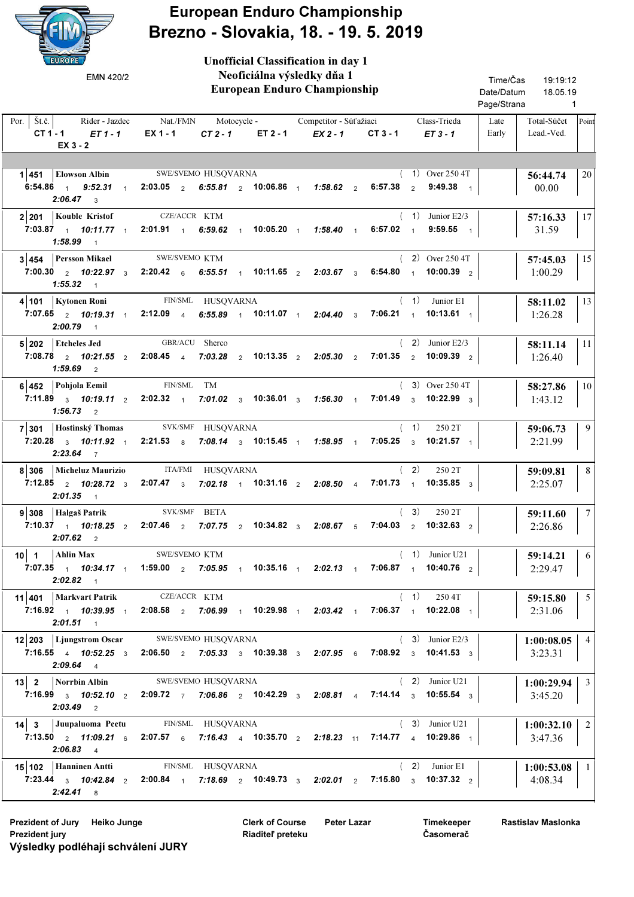

European Enduro Championship Brezno - Slovakia, 18. - 19. 5. 2019

Unofficial Classification in day 1

| EMN 420/2                                                                                                                                                                                                                                     |                                                                                        |          | Neoficiálna výsledky dňa 1<br>European Enduro Championship |                                                                                                                                      | Time/Čas<br>Date/Datum<br>Page/Strana | 19:19:12<br>18.05.19<br>$\overline{1}$    |
|-----------------------------------------------------------------------------------------------------------------------------------------------------------------------------------------------------------------------------------------------|----------------------------------------------------------------------------------------|----------|------------------------------------------------------------|--------------------------------------------------------------------------------------------------------------------------------------|---------------------------------------|-------------------------------------------|
| Por.   $\check{S}t.\check{c}$ .<br>$CT1 - 1$ $ET1 - 1$<br>$EX_3 - 2$                                                                                                                                                                          | Rider - Jazdec Mat./FMN Motocycle - Competitor - Súťažiaci<br>$EX 1 - 1$<br>$CT 2 - 1$ | ET 2 - 1 | $EX 2 - 1$                                                 | Class-Trieda<br>$CT3 - 1$<br>$ET3 - 1$                                                                                               | Late<br>Early                         | Total-Súčet Point<br>Lead.-Ved.           |
| 1 451 Elowson Albin SWE/SVEMO HUSQVARNA<br>6:54.86 <sub>1</sub> 9:52.31 <sub>1</sub> 2:03.05 <sub>2</sub> 6:55.81 <sub>2</sub> 10:06.86 <sub>1</sub> 1:58.62 <sub>2</sub><br>$2:06.47$ 3                                                      |                                                                                        |          |                                                            | $(1)$ Over 250 4T<br>6:57.38 $2$ 9:49.38 $1$                                                                                         |                                       | 20<br>56:44.74<br>00.00                   |
| 2 201 Kouble Kristof<br>7:03.87 1 10:11.77 1 2:01.91 1 6:59.62 1 10:05.20 1 1:58.40 1<br>$1:58.99$ 1                                                                                                                                          | CZE/ACCR KTM                                                                           |          |                                                            | $(1)$ Junior E2/3<br>6:57.02 $1$<br>$9:59.55$ 1                                                                                      |                                       | 17<br>57:16.33<br>31.59                   |
| 3 454 Persson Mikael<br>7:00.30 $2$ 10:22.97 $3$ 2:20.42 $6$ 6:55.51 $1$ 10:11.65 $2$ 2:03.67 $3$ 6:54.80 $1$ 10:00.39 $2$<br>$1:55.32$ 1                                                                                                     | SWE/SVEMO KTM                                                                          |          |                                                            | $(2)$ Over 250 4T                                                                                                                    |                                       | 15<br>57:45.03<br>1:00.29                 |
| 4 101   Kytonen Roni<br>7:07.65 $\frac{1}{2}$ 10:19.31 $\frac{1}{1}$<br>$2:00.79$ 1                                                                                                                                                           | FIN/SML HUSQVARNA<br>2:12.09 4 6:55.89 1 10:11.07 1 2:04.40 3                          |          |                                                            | $(1)$ Junior E1<br>7:06.21 1 10:13.61 1                                                                                              |                                       | 13<br>58:11.02<br>1:26.28                 |
| 5 202 Etcheles Jed<br>7:08.78 $\frac{1}{2}$ 10:21.55 $\frac{1}{2}$ 2:08.45 $\frac{1}{4}$ 7:03.28 $\frac{1}{2}$ 10:13.35 $\frac{1}{2}$ 2:05.30 $\frac{1}{2}$<br>$1:59.69$ 2                                                                    | GBR/ACU Sherco                                                                         |          |                                                            | $(2)$ Junior E2/3<br>7:01.35 $\frac{1}{2}$ 10:09.39 $\frac{1}{2}$                                                                    |                                       | 11<br>58:11.14<br>1:26.40                 |
| 6 452 Pohjola Eemil<br>7:11.89 $3$ 10:19.11 $2$ 2:02.32 $1$<br>$1:56.73$ 2                                                                                                                                                                    | FIN/SML TM                                                                             |          |                                                            | $(3)$ Over 250 4T<br>7:01.02 $\frac{1}{3}$ 10:36.01 $\frac{1}{3}$ 1:56.30 $\frac{1}{1}$ 7:01.49 $\frac{1}{3}$ 10:22.99 $\frac{1}{3}$ |                                       | 10<br>58:27.86<br>1:43.12                 |
| 7 301 Hostinský Thomas SVK/SMF HUSQVARNA<br>7:20.28 $3 \quad 10:11.92 \quad 1$<br>$2:23.64$ 7                                                                                                                                                 | $2:21.53$ 8                                                                            |          |                                                            | (1)<br>250 2T<br>7:08.14 $\frac{1}{3}$ 10:15.45 $\frac{1}{1}$ 1:58.95 $\frac{1}{1}$ 7:05.25 $\frac{1}{3}$ 10:21.57 $\frac{1}{1}$     |                                       | 9<br>59:06.73<br>2:21.99                  |
| 8 306   Micheluz Maurizio<br>7:12.85 $\frac{1}{2}$ 10:28.72 $\frac{1}{3}$ 2:07.47 $\frac{1}{3}$<br>$2:01.35$ 1                                                                                                                                | ITA/FMI HUSQVARNA                                                                      |          |                                                            | (2)<br>250 2T<br>7:02.18 1 10:31.16 2 2:08.50 4 7:01.73 1 10:35.85 3                                                                 |                                       | 8<br>59:09.81<br>2:25.07                  |
| $9 308$   Halgaš Patrik<br>7:10.37 $10.18.25$ 2<br>$2:07.62$ 2                                                                                                                                                                                | SVK/SMF BETA<br>$2:07.46$ 2                                                            |          |                                                            | (3)<br>250 2T<br>7:07.75 $\sqrt{2}$ 10:34.82 $\sqrt{3}$ 2:08.67 $\sqrt{5}$ 7:04.03 $\sqrt{2}$ 10:32.63 $\sqrt{2}$                    |                                       | 7 <sup>1</sup><br>59:11.60<br>2:26.86     |
| 10 1 Ahlin Max SWE/SVEMO KTM<br>7:07.35 1 10:34.17 1 1:59.00 2 7:05.95 1 10:35.16 1 2:02.13 1 7:06.87 1 10:40.76 2<br>$2:02.82$ 1                                                                                                             |                                                                                        |          |                                                            | $(1)$ Junior U21                                                                                                                     |                                       | 6<br>59:14.21<br>2:29.47                  |
| 11 401   Markvart Patrik CZE/ACCR KTM<br>7:16.92 1 10:39.95 1 2:08.58 2 7:06.99 1 10:29.98 1 2:03.42 1 7:06.37 1 10:22.08 1<br>$2:01.51$ 1                                                                                                    |                                                                                        |          |                                                            | $(1)$ 250 4T                                                                                                                         |                                       | 5 <sup>5</sup><br>59:15.80<br>2:31.06     |
| 12 203 Ljungstrom Oscar SWE/SVEMO HUSQVARNA<br>7:16.55 4 10:52.25 3 2:06.50 2 7:05.33 3 10:39.38 3 2:07.95 6 7:08.92 3 10:41.53 3<br>$2:09.64$ 4                                                                                              |                                                                                        |          |                                                            | $(3)$ Junior E2/3                                                                                                                    |                                       | $1:00:08.05$   4<br>3:23.31               |
| 13 2 Norrbin Albin<br>7:16.99 $\frac{1}{3}$ 10:52.10 $\frac{1}{2}$ 2:09.72 $\frac{1}{7}$ 7:06.86 $\frac{1}{2}$ 10:42.29 $\frac{1}{3}$ 2:08.81 $\frac{1}{4}$ 7:14.14 $\frac{1}{3}$ 10:55.54 $\frac{1}{3}$<br>$2:03.49$ 2                       | SWE/SVEMO HUSQVARNA                                                                    |          |                                                            | $(2)$ Junior U21                                                                                                                     |                                       | $1:00:29.94$   3<br>3:45.20               |
| 14 3 Juupaluoma Peetu FIN/SML HUSQVARNA<br>7:13.50 $\frac{1}{2}$ 11:09.21 $\frac{1}{6}$ 2:07.57 $\frac{1}{6}$ 7:16.43 $\frac{1}{4}$ 10:35.70 $\frac{1}{2}$ 2:18.23 $\frac{1}{11}$ 7:14.77 $\frac{1}{4}$ 10:29.86 $\frac{1}{1}$<br>$2:06.83$ 4 |                                                                                        |          |                                                            | $(3)$ Junior U21                                                                                                                     |                                       | $1:00:32.10$   2<br>3:47.36               |
| 15 102 Hanninen Antti<br>7:23.44 $_3$ 10:42.84 $_2$ 2:00.84 $_1$ 7:18.69 $_2$ 10:49.73 $_3$ 2:02.01 $_2$ 7:15.80 $_3$ 10:37.32 $_2$<br>$2:42.41$ 8                                                                                            | FIN/SML HUSQVARNA                                                                      |          |                                                            | $(2)$ Junior E1                                                                                                                      |                                       | $1:00:53.08$   1<br>$\vert 4:08.34 \vert$ |

Prezident of Jury Heiko Junge **Peter Lazar** Clerk of Course Peter Lazar Prezident jury Výsledky podléhají schválení JURY

Clerk of Course Riaditeľ preteku

Timekeeper Časomerač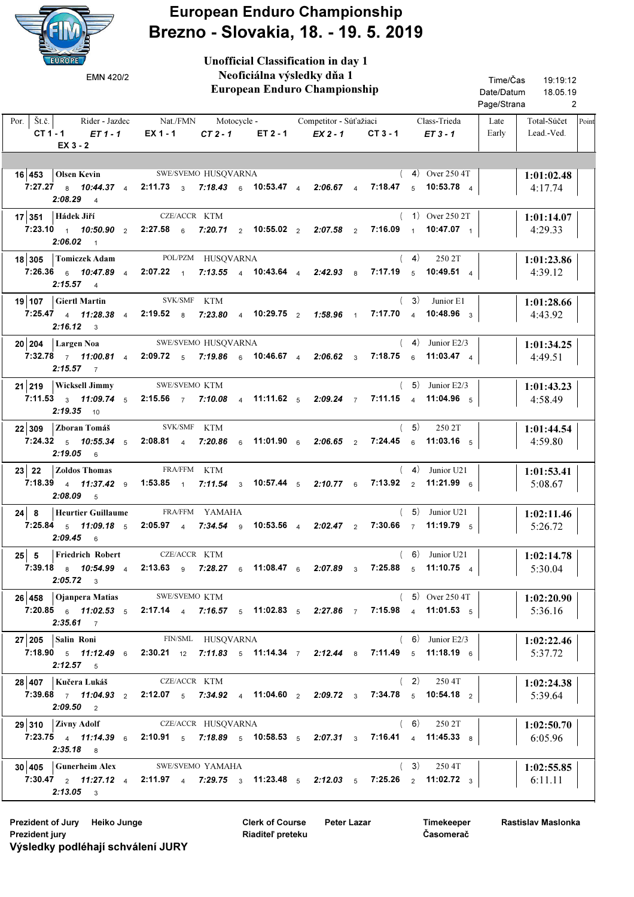

European Enduro Championship Brezno - Slovakia, 18. - 19. 5. 2019

| <b>EUROPE</b><br>EMN 420/2                                                               | <b>Unofficial Classification in day 1</b><br>Neoficiálna výsledky dňa 1<br><b>European Enduro Championship</b>                                                                     | Time/Čas<br>19:19:12<br>Date/Datum<br>18.05.19      |
|------------------------------------------------------------------------------------------|------------------------------------------------------------------------------------------------------------------------------------------------------------------------------------|-----------------------------------------------------|
|                                                                                          |                                                                                                                                                                                    | Page/Strana<br>2                                    |
| Por.   $\check{S}t.\check{c}$ .<br>Rider - Jazdec<br>$CT 1 - 1$<br>$ET1-1$<br>$EX_3 - 2$ | Nat./FMN<br>Class-Trieda<br>Motocycle -<br>Competitor - Súťažiaci<br>EX 1 - 1<br>$CT2-1$<br>ET 2 - 1<br>$EX2 - 1$<br>$CT3 - 1$<br>$ET3 - 1$                                        | Total-Súčet<br>Late<br>Point<br>Lead.-Ved.<br>Early |
|                                                                                          |                                                                                                                                                                                    |                                                     |
| $16 453 $ Olsen Kevin                                                                    | SWE/SVEMO HUSQVARNA<br>$(4)$ Over 250 4T                                                                                                                                           | 1:01:02.48                                          |
| 7:27.27 $8$ 10:44.37 $4$<br>$2:08.29$ 4                                                  | 2:11.73 $\frac{3}{3}$ 7:18.43 $\frac{6}{6}$ 10:53.47 $\frac{4}{4}$ 2:06.67 $\frac{4}{4}$<br>7:18.47 $\frac{1}{5}$ 10:53.78 $\frac{1}{4}$                                           | 4:17.74                                             |
| 17 351 Hádek Jiří                                                                        | CZE/ACCR KTM<br>$(1)$ Over 250 2T                                                                                                                                                  | 1:01:14.07                                          |
| 7:23.10 $1$ 10:50.90 $2$ 2:27.58 $6$<br>$2:06.02$ 1                                      | 7:20.71 $\sqrt{2}$ 10:55.02 $\sqrt{2}$<br>$7:16.09$ 1<br>10:47.07 $1$<br>$2:07.58$ 2                                                                                               | 4:29.33                                             |
| 18 305<br><b>Tomiczek Adam</b>                                                           | POL/PZM HUSQVARNA<br>(4)<br>250 2T                                                                                                                                                 | 1:01:23.86                                          |
| 7:26.36 6 10:47.89 4<br>$2:15.57$ 4                                                      | $2:07.22$ 1<br>7:13.55 4 10:43.64 4 2:42.93 8<br>$7:17.19$ 5<br>10:49.51 $4$                                                                                                       | 4:39.12                                             |
| 19 107 Giertl Martin                                                                     | SVK/SMF KTM<br>(3)<br>Junior E1                                                                                                                                                    | 1:01:28.66                                          |
| 7:25.47 4 11:28.38 4<br>$2:16.12 \quad \text{3}$                                         | $7:17.70$ 4<br>$2:19.52$ 8<br>7:23.80 $\frac{4}{4}$ 10:29.75 $\frac{2}{4}$<br>10:48.96 $3$<br><b>1:58.96</b> 1                                                                     | 4:43.92                                             |
| $20 204 $ Largen Noa                                                                     | $(4)$ Junior E2/3<br>SWE/SVEMO HUSQVARNA                                                                                                                                           | 1:01:34.25                                          |
| $2:15.57$ 7                                                                              | 7:32.78 7 11:00.81 4 2:09.72 5 7:19.86 6 10:46.67 4 2:06.62 3<br>$7:18.75$ 6<br>11:03.47 $\frac{4}{4}$                                                                             | 4:49.51                                             |
| 21 219   Wicksell Jimmy                                                                  | SWE/SVEMO KTM<br>$(5)$ Junior E2/3                                                                                                                                                 | 1:01:43.23                                          |
| 7:11.53 $3 \t3 \t11:09.74 \t5$<br>$2:19.35$ 10                                           | 2:15.56 $\frac{7}{7}$ 7:10.08 $\frac{4}{4}$ 11:11.62 $\frac{5}{5}$ 2:09.24 $\frac{7}{4}$<br>7:11.15 4 11:04.96 5                                                                   | 4:58.49                                             |
| 22 309<br>Zboran Tomáš                                                                   | SVK/SMF KTM<br>(5)<br>250 2T                                                                                                                                                       | 1:01:44.54                                          |
| 7:24.32 $5 \t 10:55.34 \t 5$<br>$2:19.05$ 6                                              | 7:24.45 $6$ 11:03.16 $5$<br>2:08.81 4<br>7:20.86 6 11:01.90 6<br>$2:06.65$ 2                                                                                                       | 4:59.80                                             |
| <b>Zoldos Thomas</b><br>$23$ 22                                                          | FRA/FFM KTM<br>$(4)$ Junior U21                                                                                                                                                    | 1:01:53.41                                          |
| 7:18.39 4 11:37.42 9<br>2:08.09<br>$-5$                                                  | 7:13.92 $\frac{2}{2}$<br>11:21.99 $6$<br>1:53.85 $\frac{1}{1}$<br>10:57.44 $_5$<br>$7:11.54$ 3<br>$2:10.77$ 6                                                                      | 5:08.67                                             |
| $24 \mid 8$<br><b>Heurtier Guillaume</b>                                                 | FRA/FFM YAMAHA<br>$(5)$ Junior U21                                                                                                                                                 | 1:02:11.46                                          |
| 7:25.84 5 11:09.18 5<br>$2:09.45$ 6                                                      | 2:05.97 4 7:34.54 9 10:53.56 4 2:02.47 2<br>7:30.66 $7$ 11:19.79 $5$                                                                                                               | 5:26.72                                             |
| 25 5 Friedrich Robert CZE/ACCR KTM                                                       | $(6)$ Junior U21                                                                                                                                                                   | 1:02:14.78                                          |
| $2:05.72$ 3                                                                              | 7:39.18 a $10:54.99$ 4 $2:13.63$ a $7:28.27$ a $11:08.47$ a $2:07.89$ a $7:25.88$ a $11:10.75$ 4                                                                                   | 5:30.04                                             |
| 26 458 Ojanpera Matias SWE/SVEMO KTM                                                     | $(5)$ Over 250 4T                                                                                                                                                                  | 1:02:20.90                                          |
| $2:35.61$ 7                                                                              | 7:20.85 $\frac{1}{6}$ 11:02.53 $\frac{1}{5}$ 2:17.14 $\frac{1}{4}$ 7:16.57 $\frac{1}{5}$ 11:02.83 $\frac{1}{5}$ 2:27.86 $\frac{1}{7}$ 7:15.98 $\frac{1}{4}$ 11:01.53 $\frac{1}{5}$ | 5:36.16                                             |
| 27 205 Salin Roni                                                                        | FIN/SML HUSQVARNA<br>$(6)$ Junior E2/3                                                                                                                                             | 1:02:22.46                                          |
| $2:12.57$ 5                                                                              | 7:18.90 $\,$ 5 11:12.49 $\,$ 6 2:30.21 $\,$ 1 $\,$ 12 7:11.83 $\,$ 5 11:14.34 $\,$ 7 2:12.44 $\,$ 8 7:11.49 $\,$ 5 11:18.19 $\,$ 6                                                 | 5:37.72                                             |
| 28 407   Kučera Lukáš                                                                    | CZE/ACCR KTM<br>(2) 2504T                                                                                                                                                          | 1:02:24.38                                          |
| $2:09.50$ 2                                                                              | 7:39.68 $\frac{1}{7}$ 11:04.93 $\frac{1}{2}$ 2:12.07 $\frac{1}{5}$ 7:34.92 $\frac{1}{4}$ 11:04.60 $\frac{1}{2}$ 2:09.72 $\frac{1}{3}$ 7:34.78 $\frac{1}{5}$ 10:54.18 $\frac{1}{2}$ | 5:39.64                                             |
| $29 310$ Zivny Adolf                                                                     | (6)<br>CZE/ACCR HUSQVARNA<br>250 2T                                                                                                                                                | 1:02:50.70                                          |
| $2:35.18$ 8                                                                              | 7:23.75 4 11:14.39 6 2:10.91 5 7:18.89 5 10:58.53 5 2:07.31 3 7:16.41 4 11:45.33 8                                                                                                 | 6:05.96                                             |
| $30 405$ Gunerheim Alex                                                                  | SWE/SVEMO YAMAHA<br>$(3)$ 250 4T                                                                                                                                                   | 1:02:55.85                                          |
| $2:13.05$ 3                                                                              | 7:30.47 $\frac{1}{2}$ 11:27.12 $\frac{1}{4}$ 2:11.97 $\frac{1}{4}$ 7:29.75 $\frac{1}{3}$ 11:23.48 $\frac{1}{5}$ 2:12.03 $\frac{1}{5}$ 7:25.26 $\frac{1}{2}$ 11:02.72 $\frac{1}{3}$ | 6:11.11                                             |

Prezident of Jury Heiko Junge **Peter Lazar** Clerk of Course Peter Lazar Prezident jury Výsledky podléhají schválení JURY

Clerk of Course Riaditeľ preteku

Timekeeper Časomerač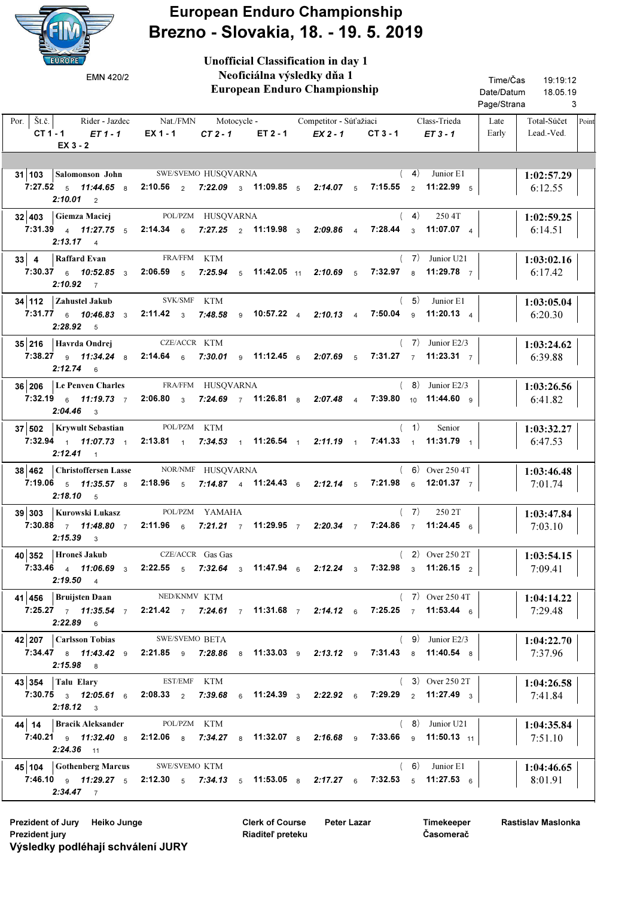

European Enduro Championship Brezno - Slovakia, 18. - 19. 5. 2019

Unofficial Classification in day 1

| EMN 420/2                                                                                | Neoficiálna výsledky dňa 1<br><b>European Enduro Championship</b>                                                                                                                   |          |                                                  | Time/Čas<br>19:19:12<br>Date/Datum<br>18.05.19<br>Page/Strana<br>3 |                                                     |
|------------------------------------------------------------------------------------------|-------------------------------------------------------------------------------------------------------------------------------------------------------------------------------------|----------|--------------------------------------------------|--------------------------------------------------------------------|-----------------------------------------------------|
| $\text{St.č.}$<br>Rider - Jazdec<br>Por. $\vert$<br>$CT 1 - 1$<br>ET 1 - 1<br>$EX_3 - 2$ | Nat./FMN<br>$EX 1 - 1$<br>$CT2-1$                                                                                                                                                   | ET 2 - 1 | Motocycle - Competitor - Súťažiaci<br>$EX 2 - 1$ | Class-Trieda<br>$CT3-1$<br>$ET3 - 1$                               | Late<br>Total-Súčet<br>Point<br>Early<br>Lead.-Ved. |
| 31 103 Salomonson John SWE/SVEMO HUSQVARNA<br>7:27.52 $5$ 11:44.65 $8$<br>$2:10.01$ 2    | 2:10.56 $\,$ 2 7:22.09 $\,$ 3 11:09.85 $\,$ 5 2:14.07 $\,$ 5                                                                                                                        |          |                                                  | (4)<br>Junior E1<br>7:15.55 $\frac{1}{2}$ 11:22.99 $\frac{1}{5}$   | 1:02:57.29<br>6:12.55                               |
| 32 403 Giemza Maciej<br>$2:13.17 \t4$                                                    | POL/PZM HUSQVARNA<br>7:31.39 4 11:27.75 5 2:14.34 6 7:27.25 2 11:19.98 3 2:09.86 4 7:28.44 3 11:07.07 4                                                                             |          |                                                  | (4)<br>250 4T                                                      | 1:02:59.25<br>6:14.51                               |
| 33 4 Raffard Evan<br>$2:10.92$ 7                                                         | FRA/FFM KTM<br>7:30.37 6 10:52.85 3 2:06.59 5 7:25.94 5 11:42.05 11 2:10.69 5 7:32.97 8 11:29.78 7                                                                                  |          |                                                  | $(7)$ Junior U21                                                   | 1:03:02.16<br>6:17.42                               |
| 34 112 Zahustel Jakub<br>$2:28.92$ 5                                                     | SVK/SMF KTM<br>7:31.77 6 10:46.83 3 2:11.42 3 7:48.58 9 10:57.22 4 2:10.13 4 7:50.04 9 11:20.13 4                                                                                   |          |                                                  | $(5)$ Junior E1                                                    | 1:03:05.04<br>6:20.30                               |
| $35 216$   Havrda Ondrej<br>$2:12.74$ 6                                                  | CZE/ACCR KTM<br>7:38.27 9 11:34.24 8 2:14.64 6 7:30.01 9 11:12.45 6 2:07.69 5 7:31.27 7 11:23.31 7                                                                                  |          |                                                  | $(7)$ Junior E2/3                                                  | 1:03:24.62<br>6:39.88                               |
| 36 206 Le Penven Charles FRA/FFM HUSQVARNA<br>$2:04.46$ 3                                | 7:32.19 $\frac{1}{6}$ 11:19.73 $\frac{1}{7}$ 2:06.80 $\frac{1}{3}$ 7:24.69 $\frac{1}{7}$ 11:26.81 $\frac{1}{8}$ 2:07.48 $\frac{1}{4}$ 7:39.80 $\frac{1}{10}$ 11:44.60 $\frac{1}{9}$ |          |                                                  | $(8)$ Junior E2/3                                                  | 1:03:26.56<br>6:41.82                               |
| 37 502   Krywult Sebastian<br>7:32.94 $1.07.73$ 1<br>$2:12.41 \t1$                       | POL/PZM KTM<br>2:13.81 1 7:34.53 1 11:26.54 1 2:11.19 1 7:41.33 1 11:31.79 1                                                                                                        |          |                                                  | (1)<br>Senior                                                      | 1:03:32.27<br>6:47.53                               |
| 38 462 Christoffersen Lasse<br>$2:18.10$ 5                                               | NOR/NMF HUSQVARNA<br>7:19.06 5 11:35.57 8 2:18.96 5 7:14.87 4 11:24.43 6 2:12.14 5 7:21.98 6 12:01.37 7                                                                             |          |                                                  | $(6)$ Over 250 4T                                                  | 1:03:46.48<br>7:01.74                               |
| 39 303 Kurowski Lukasz<br>7:30.88 $\frac{7}{1}$ 11:48.80 $\frac{7}{1}$<br>$2:15.39$ 3    | POL/PZM YAMAHA<br>2:11.96 6 7:21.21 7 11:29.95 7 2:20.34 7 7:24.86 7 11:24.45 6                                                                                                     |          |                                                  | (7)<br>250 2T                                                      | 1:03:47.84<br>7:03.10                               |
| 40 352 Hroneš Jakub<br>$2:19.50$ 4                                                       | CZE/ACCR Gas Gas<br>7:33.46 4 11:06.69 3 2:22.55 5 7:32.64 3 11:47.94 6 2:12.24 3 7:32.98 3 11:26.15 2                                                                              |          |                                                  | $(2)$ Over 250 2T                                                  | 1:03:54.15<br>7:09.41                               |
| 41 456   Bruijsten Daan<br>$2:22.89$ 6                                                   | NED/KNMV KTM<br>7:25.27 7 11:35.54 7 2:21.42 7 7:24.61 7 11:31.68 7 2:14.12 6 7:25.25 7 11:53.44 6                                                                                  |          |                                                  | $(7)$ Over 250 4T                                                  | 1:04:14.22<br>7:29.48                               |
| 42 207 Carlsson Tobias<br>$2:15.98$ 8                                                    | <b>SWE/SVEMO BETA</b><br>7:34.47 a 11:43.42 a 2:21.85 a 7:28.86 a 11:33.03 a 2:13.12 a 7:31.43 a 11:40.54 a                                                                         |          |                                                  | $(9)$ Junior E2/3                                                  | 1:04:22.70<br>7:37.96                               |
| $43 354$ Talu Elary<br>$2:18.12$ 3                                                       | EST/EMF KTM<br>7:30.75 $_3$ 12:05.61 $_6$ 2:08.33 $_2$ 7:39.68 $_6$ 11:24.39 $_3$ 2:22.92 $_6$ 7:29.29 $_2$ 11:27.49 $_3$                                                           |          |                                                  | $(3)$ Over 250 2T                                                  | 1:04:26.58<br>7:41.84                               |
| 44   14   Bracik Aleksander<br>$2:24.36$ 11                                              | POL/PZM KTM<br>7:40.21 <b>9</b> 11:32.40 <b>8</b> 2:12.06 <b>8</b> 7:34.27 <b>8</b> 11:32.07 <b>8</b> 2:16.68 <b>9</b> 7:33.66 <b>9</b> 11:50.13 <sup>11</sup>                      |          |                                                  | $(8)$ Junior U21                                                   | 1:04:35.84<br>7:51.10                               |
| 45   104   Gothenberg Marcus SWE/SVEMO KTM<br>$2:34.47$ 7                                | 7:46.10 9 11:29.27 5 2:12.30 5 7:34.13 5 11:53.05 8 2:17.27 6 7:32.53 5 11:27.53 6                                                                                                  |          |                                                  | $(6)$ Junior E1                                                    | 1:04:46.65<br>8:01.91                               |

Prezident of Jury Heiko Junge **Peter Lazar** Clerk of Course Peter Lazar Prezident jury Výsledky podléhají schválení JURY

Clerk of Course Riaditeľ preteku

Timekeeper Časomerač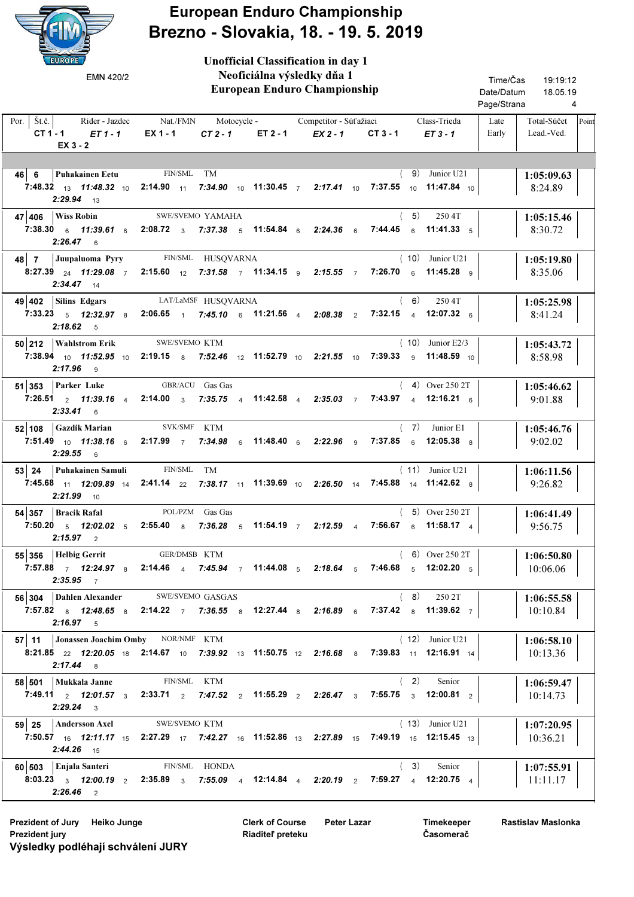

## European Enduro Championship Brezno - Slovakia, 18. - 19. 5. 2019

| <b>EUROPE</b><br>EMN 420/2                                                          | <b>Unofficial Classification in day 1</b><br>Neoficiálna výsledky dňa 1<br><b>European Enduro Championship</b>                                                                            | Time/Čas<br>19:19:12<br>Date/Datum<br>18.05.19<br>Page/Strana<br>4 |
|-------------------------------------------------------------------------------------|-------------------------------------------------------------------------------------------------------------------------------------------------------------------------------------------|--------------------------------------------------------------------|
| $\mathbf{\check{S}}$ t.č.<br>Por. $\vert$<br>Rider - Jazdec<br>$CT1-1$<br>$ET1 - 1$ | Nat./FMN<br>Class-Trieda<br>Motocycle - Competitor - Súťažiaci<br>EX 1 - 1<br>$CT2-1$<br>ET 2 - 1<br>$EX2 - 1$<br>$CT3 - 1$<br>$ET3 - 1$                                                  | Total-Súčet<br>Point<br>Late<br>Early<br>Lead.-Ved.                |
| $EX_3 - 2$                                                                          |                                                                                                                                                                                           |                                                                    |
|                                                                                     |                                                                                                                                                                                           |                                                                    |
| <b>Puhakainen Eetu</b><br>46 6                                                      | FIN/SML<br>TM<br>(9)<br>Junior U21                                                                                                                                                        | 1:05:09.63                                                         |
| $2:29.94$ 13                                                                        | 7:48.32 13 11:48.32 10 2:14.90 11 7:34.90 10 11:30.45 7 2:17.41 10 7:37.55 10 11:47.84 10                                                                                                 | 8:24.89                                                            |
| <b>Wiss Robin</b><br>47 406                                                         | (5)<br>SWE/SVEMO YAMAHA<br>250 4T                                                                                                                                                         | 1:05:15.46                                                         |
| $2:26.47$ 6                                                                         | 7:38.30 6 11:39.61 6 2:08.72 3 7:37.38 5 11:54.84 6 2:24.36 6<br><b>7:44.45</b> 6 11:41.33 5                                                                                              | 8:30.72                                                            |
| $48$ 7<br>Juupaluoma Pyry                                                           | FIN/SML HUSQVARNA<br>$(10)$ Junior U21                                                                                                                                                    | 1:05:19.80                                                         |
| $2:34.47$ 14                                                                        | 7:26.70 6 11:45.28 9<br>8:27.39 24 11:29.08 7 2:15.60 12 7:31.58 7 11:34.15 9 2:15.55 7                                                                                                   | 8:35.06                                                            |
| Silins Edgars<br>49 402                                                             | (6)<br>250 4T<br>LAT/LaMSF HUSQVARNA                                                                                                                                                      | 1:05:25.98                                                         |
| $2:18.62$ 5                                                                         | 7:33.23 $\,$ 5 12:32.97 $\,$ 8 2:06.65 $\,$ 1 7:45.10 $\,$ 6 11:21.56 $\,$ 4 2:08.38 $\,$ 2<br>7:32.15 4 12:07.32 6                                                                       | 8:41.24                                                            |
| 50 212   Wahlstrom Erik                                                             | $(10)$ Junior E2/3<br>SWE/SVEMO KTM                                                                                                                                                       | 1:05:43.72                                                         |
| $2:17.96$ 9                                                                         | $7:39.33$ 9 11:48.59 10<br>7:38.94 10 11:52.95 10 2:19.15 8 7:52.46 12 11:52.79 10 2:21.55 10                                                                                             | 8:58.98                                                            |
| <b>Parker Luke</b><br>51 353                                                        | GBR/ACU Gas Gas<br>$(4)$ Over 250 2T                                                                                                                                                      | 1:05:46.62                                                         |
| $7:26.51 \quad 2 \quad 11:39.16 \quad 4$<br>$2:33.41$ 6                             | 7:43.97 4 12:16.21 6<br>2:14.00 $\frac{3}{3}$ 7:35.75 $\frac{4}{4}$ 11:42.58 $\frac{4}{4}$ 2:35.03 $\frac{7}{4}$                                                                          | 9:01.88                                                            |
| <b>Gazdík Marian</b><br>52 108                                                      | SVK/SMF KTM<br>(7)<br>Junior E1                                                                                                                                                           | 1:05:46.76                                                         |
| 7:51.49 10 11:38.16 6<br>$2:29.55$ 6                                                | 7:37.85 $6$ 12:05.38 $8$<br>2:17.99 $7$<br>7:34.98 6 11:48.40 6 2:22.96 9                                                                                                                 | 9:02.02                                                            |
| Puhakainen Samuli<br>$53$ 24                                                        | FIN/SML<br>$(11)$ Junior U21<br>TM                                                                                                                                                        | 1:06:11.56                                                         |
| $2:21.99$ 10                                                                        | 7:45.68 <sub>11</sub> 12:09.89 <sub>14</sub> 2:41.14 <sub>22</sub> 7:38.17 <sub>11</sub> 11:39.69 <sub>10</sub> 2:26.50 <sub>14</sub> 7:45.88 <sub>14</sub> 11:42.62 <sub>8</sub>         | 9:26.82                                                            |
| <b>Bracik Rafal</b><br>54 357                                                       | POL/PZM Gas Gas<br>$(5)$ Over 250 2T                                                                                                                                                      | 1:06:41.49                                                         |
| 7:50.20 $5$ 12:02.02 $5$<br>$2:15.97$ 2                                             | 2:55.40 $\,$ 8 7:36.28 $\,$ 5 11:54.19 $\,$ 7<br>7:56.67 $6$ 11:58.17 4<br>$2:12.59$ 4                                                                                                    | 9:56.75                                                            |
| 55 356   Helbig Gerrit                                                              | $(6)$ Over 250 2T<br>GER/DMSB KTM                                                                                                                                                         | 1:06:50.80                                                         |
| $2:35.95$ 7                                                                         | 7:57.88 $\frac{7}{7}$ 12:24.97 $\frac{8}{8}$ 2:14.46 $\frac{4}{4}$ 7:45.94 $\frac{7}{7}$ 11:44.08 $\frac{5}{5}$ 2:18.64 $\frac{5}{5}$ 7:46.68 $\frac{5}{5}$ 12:02.20 $\frac{5}{5}$        | 10:06.06                                                           |
| 56 304                                                                              | <b>Dahlen Alexander</b> SWE/SVEMO GASGAS<br>(8)<br>250 2T                                                                                                                                 | 1:06:55.58                                                         |
| $2:16.97$ 5                                                                         | 7:57.82 a 12:48.65 a 2:14.22 $\frac{1}{7}$ 7:36.55 a 12:27.44 a 2:16.89 a 7:37.42 a 11:39.62 $\frac{1}{7}$                                                                                | 10:10.84                                                           |
| 57   11                                                                             | $(12)$ Junior U21<br>Jonassen Joachim Omby NOR/NMF KTM                                                                                                                                    | 1:06:58.10                                                         |
| $2:17.44$ 8                                                                         | <b>8:21.85</b> $_{22}$ <b>12:20.05</b> $_{18}$ <b>2:14.67</b> $_{10}$ <b>7:39.92</b> $_{13}$ <b>11:50.75</b> $_{12}$ <b>2:16.68</b> $_{8}$ <b>7:39.83</b> $_{11}$ <b>12:16.91</b> $_{14}$ | 10:13.36                                                           |
| 58 501   Mukkala Janne                                                              | FIN/SML KTM<br>(2)<br>Senior                                                                                                                                                              | 1:06:59.47                                                         |
| $2:29.24$ 3                                                                         | 7:49.11 $_2$ 12:01.57 $_3$ 2:33.71 $_2$ 7:47.52 $_2$ 11:55.29 $_2$ 2:26.47 $_3$ 7:55.75 $_3$ 12:00.81 $_2$                                                                                | 10:14.73                                                           |
| 59 25<br>Andersson Axel                                                             | SWE/SVEMO KTM<br>$(13)$ Junior U21                                                                                                                                                        | 1:07:20.95                                                         |
| $2:44.26$ 15                                                                        | 7:50.57 <sub>16</sub> 12:11.17 <sub>15</sub> 2:27.29 <sub>17</sub> 7:42.27 <sub>16</sub> 11:52.86 <sub>13</sub> 2:27.89 <sub>15</sub> 7:49.19 <sub>15</sub> 12:15.45 <sub>13</sub>        | 10:36.21                                                           |
| 60 503 Enjala Santeri                                                               | FIN/SML HONDA<br>(3)<br>Senior                                                                                                                                                            | 1:07:55.91                                                         |
| $2:26.46$ 2                                                                         | 8:03.23 $_3$ 12:00.19 $_2$ 2:35.89 $_3$ 7:55.09 $_4$ 12:14.84 $_4$ 2:20.19 $_2$ 7:59.27 $_4$ 12:20.75 $_4$                                                                                | 11:11.17                                                           |

Prezident of Jury Heiko Junge **Peter Lazar** Clerk of Course Peter Lazar Prezident jury Výsledky podléhají schválení JURY

Clerk of Course Riaditeľ preteku

Timekeeper Časomerač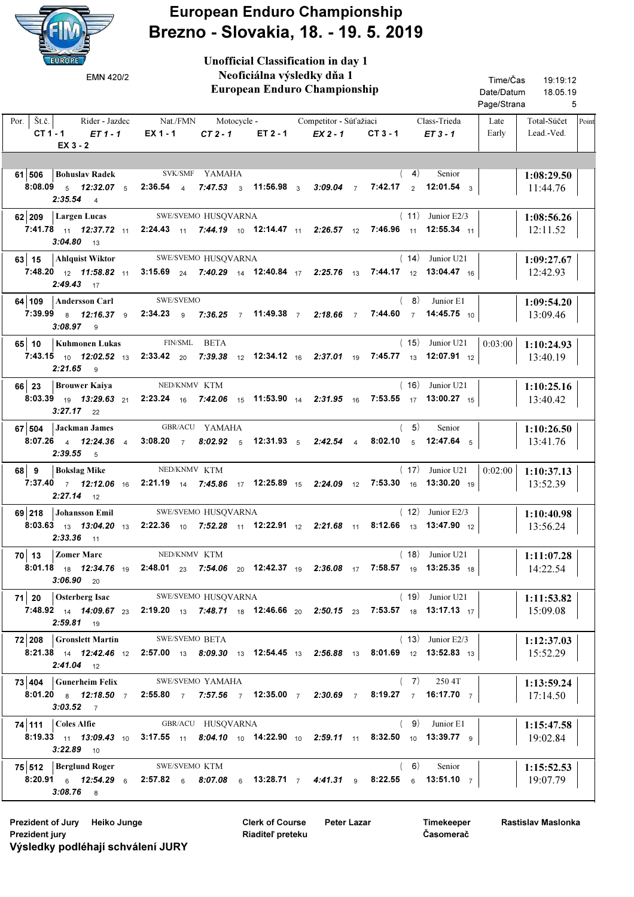

European Enduro Championship Brezno - Slovakia, 18. - 19. 5. 2019

Unofficial Classification in day 1

| EMN 420/2                                                              | Neoficiálna výsledky dňa 1<br>European Enduro Championship                                                                                                                                                                                                 | Time/Čas<br>19:19:12<br>Date/Datum<br>18.05.19<br>Page/Strana<br>5 |                                                     |
|------------------------------------------------------------------------|------------------------------------------------------------------------------------------------------------------------------------------------------------------------------------------------------------------------------------------------------------|--------------------------------------------------------------------|-----------------------------------------------------|
| Por.   $\check{S}t.\check{c}$ .  <br>CT 1 - 1 $ET$ 1 - 1<br>$EX_3 - 2$ | Rider - Jazdec Nat./FMN Motocycle - Competitor - Súťažiaci<br>$EX 1 - 1$<br>ET 2 - 1<br>$CT2-1$                                                                                                                                                            | Class-Trieda<br>$EX 2 - 1$<br>$CT3 - 1$<br>$ET3 - 1$               | Late<br>Total-Súčet<br>Point<br>Early<br>Lead.-Ved. |
| 61 506 Bohuslav Radek SVK/SMF YAMAHA<br>$2:35.54$ 4                    | 8:08.09 <sub>5</sub> 12:32.07 <sub>5</sub> 2:36.54 <sub>4</sub> 7:47.53 <sub>3</sub> 11:56.98 <sub>3</sub> 3:09.04 7 7:42.17 <sub>2</sub> 12:01.54 <sub>3</sub>                                                                                            | (4)                                                                | Senior<br>1:08:29.50<br>11:44.76                    |
| 62 209 Largen Lucas<br>$3:04.80$ 13                                    | SWE/SVEMO HUSQVARNA<br>7:41.78 11 12:37.72 11 2:24.43 11 7:44.19 10 12:14.47 11 2:26.57 12 7:46.96 11 12:55.34 11                                                                                                                                          | $(11)$ Junior E2/3                                                 | 1:08:56.26<br>12:11.52                              |
| 63 15 Ahlquist Wiktor<br>$2:49.43$ 17                                  | SWE/SVEMO HUSQVARNA<br>7:48.20 12 11:58.82 11 3:15.69 24 7:40.29 14 12:40.84 17 2:25.76 13 7:44.17 12 13:04.47 16                                                                                                                                          | $(14)$ Junior U21                                                  | 1:09:27.67<br>12:42.93                              |
| 64   109   Andersson Carl SWE/SVEMO<br>$3:08.97$ 9                     | 7:39.99 8 12:16.37 9 2:34.23 9 7:36.25 7 11:49.38 7 2:18.66 7 7:44.60 7 14:45.75 10                                                                                                                                                                        | $(8)$ Junior E1                                                    | 1:09:54.20<br>13:09.46                              |
| 65 10   Kuhmonen Lukas<br>$2:21.65$ 9                                  | FIN/SML BETA<br>7:43.15 10 12:02.52 13 2:33.42 20 7:39.38 12 12:34.12 16 2:37.01 19 7:45.77 13 12:07.91 12                                                                                                                                                 | $(15)$ Junior U21                                                  | $0:03:00$ 1:10:24.93<br>13:40.19                    |
| 66 23   Brouwer Kaiya<br>$3:27.17$ 22                                  | NED/KNMV KTM<br><b>8:03.39</b> <sub>19</sub> <b>13:29.63</b> <sub>21</sub> <b>2:23.24</b> <sub>16</sub> <b>7:42.06</b> <sub>15</sub> <b>11:53.90</b> <sub>14</sub> <b>2:31.95</b> <sub>16</sub> <b>7:53.55</b> <sub>17</sub> <b>13:00.27</b> <sub>15</sub> | $(16)$ Junior U21                                                  | 1:10:25.16<br>13:40.42                              |
| $67 504$ Jackman James<br>$2:39.55$ 5                                  | GBR/ACU YAMAHA<br>8:07.26 4 12:24.36 4 3:08.20 7 8:02.92 5 12:31.93 5 2:42.54 4                                                                                                                                                                            | (5)<br><b>8:02.10</b> $\frac{1}{5}$ <b>12:47.64</b> $\frac{1}{5}$  | Senior<br>1:10:26.50<br>13:41.76                    |
| $68$ 9<br><b>Bokslag Mike</b><br>$2:27.14$ 12                          | NED/KNMV KTM<br>7:37.40 7 12:12.06 16 2:21.19 14 7:45.86 17 12:25.89 15 2:24.09 12 7:53.30 16 13:30.20 19                                                                                                                                                  | $(17)$ Junior U21                                                  | $0:02:00$   1:10:37.13<br>13:52.39                  |
| 69 218 Johansson Emil<br>$2:33.36$ 11                                  | SWE/SVEMO HUSQVARNA<br><b>8:03.63</b> 13 13:04.20 13 2:22.36 10 7:52.28 11 12:22.91 12 2:21.68 11 8:12.66 13 13:47.90 12                                                                                                                                   | $(12)$ Junior E2/3                                                 | 1:10:40.98<br>13:56.24                              |
| $70$   13   Zomer Marc<br>$3:06.90$ 20                                 | NED/KNMV KTM<br><b>8:01.18</b> 18 12:34.76 19 2:48.01 23 7:54.06 20 12:42.37 19 2:36.08 17 7:58.57 19 13:25.35 18                                                                                                                                          | $(18)$ Junior U21                                                  | 1:11:07.28<br>14:22.54                              |
| 71 20<br><b>Osterberg Isac</b><br>$2:59.81$ 19                         | SWE/SVEMO HUSQVARNA<br>7:48.92 <sub>14</sub> 14:09.67 <sup>23</sup> 2:19.20 <sub>13</sub> 7:48.71 <sub>18</sub> 12:46.66 <sup>20</sup> 2:50.15 <sup>2</sup> 37:53.57 <sup>18</sup> 13:17.13 <sup>17</sup>                                                  | $(19)$ Junior U21                                                  | 1:11:53.82<br>15:09.08                              |
| 72 208 Gronslett Martin<br>$2:41.04$ 12                                | SWE/SVEMO BETA<br><b>8:21.38</b> <sub>14</sub> 12:42.46 <sub>12</sub> 2:57.00 <sub>13</sub> 8:09.30 13 12:54.45 13 2:56.88 13 8:01.69 12 13:52.83 13                                                                                                       | $(13)$ Junior E2/3                                                 | 1:12:37.03<br>15:52.29                              |
| 73 404 Gunerheim Felix<br>$3:03.52$ 7                                  | SWE/SVEMO YAMAHA<br>8:01.20 $\frac{8}{8}$ 12:18.50 $\frac{7}{7}$ 2:55.80 $\frac{7}{7}$ 7:57.56 $\frac{7}{7}$ 12:35.00 $\frac{7}{7}$ 2:30.69 $\frac{7}{7}$ 8:19.27 $\frac{7}{7}$ 16:17.70 $\frac{7}{7}$                                                     | (7)                                                                | 250 4T<br>1:13:59.24<br>17:14.50                    |
| <b>74 111 Coles Alfie</b><br>$3:22.89$ 10                              | GBR/ACU HUSQVARNA<br><b>8:19.33</b> 11 13:09.43 10 3:17.55 11 8:04.10 10 14:22.90 10 2:59.11 11 8:32.50 10 13:39.77 9                                                                                                                                      | (9)                                                                | Junior E1<br>1:15:47.58<br>19:02.84                 |
| 75 512   Berglund Roger<br>$3:08.76$ 8                                 | SWE/SVEMO KTM<br>8:20.91 6 12:54.29 6 2:57.82 6 8:07.08 6 13:28.71 7 4:41.31 9 8:22.55 6 13:51.10 7                                                                                                                                                        | (6)                                                                | Senior<br>1:15:52.53<br>19:07.79                    |

Timekeeper Časomerač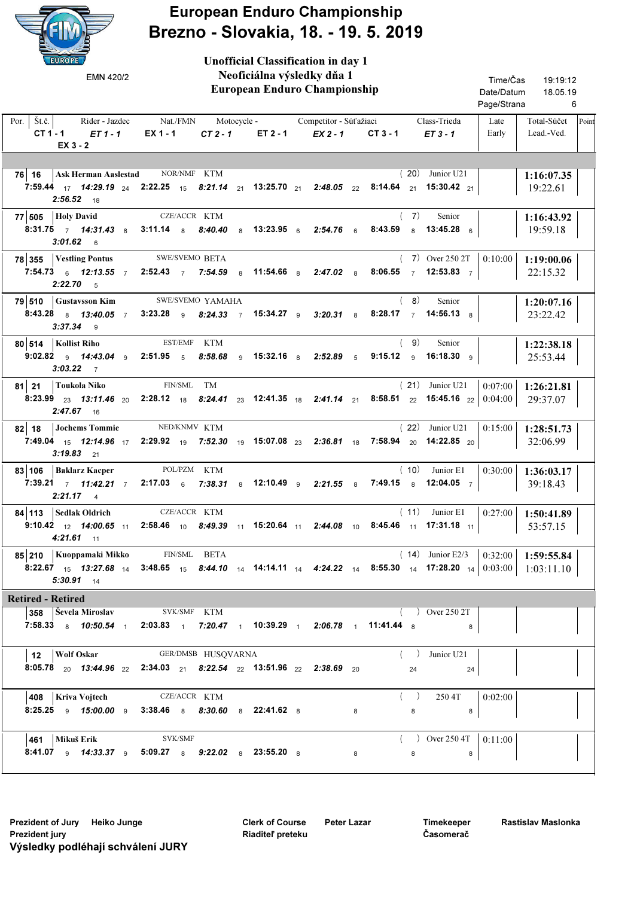

## European Enduro Championship Brezno - Slovakia, 18. - 19. 5. 2019

| EUROPE /<br>EMN 420/2                                                             | <b>Unofficial Classification in day 1</b><br>Neoficiálna výsledky dňa 1<br>European Enduro Championship         | Time/Čas<br>19:19:12<br>Date/Datum<br>18.05.19                                                                                     |                                                     |
|-----------------------------------------------------------------------------------|-----------------------------------------------------------------------------------------------------------------|------------------------------------------------------------------------------------------------------------------------------------|-----------------------------------------------------|
|                                                                                   |                                                                                                                 |                                                                                                                                    | Page/Strana<br>6                                    |
| $\text{St.č.}$<br>Rider - Jazdec<br>Por.<br>CT 1 - 1<br>$ET1-1$<br>$EX_3 - 2$     | Nat./FMN<br>$EX 1 - 1$<br>$CT2-1$<br>ET 2 - 1                                                                   | Motocycle - Competitor - Súťažiaci<br>Class-Trieda<br>$EX2 - 1$<br>$CT3 - 1$<br>$ET3 - 1$                                          | Late<br>Total-Súčet<br>Point<br>Early<br>Lead.-Ved. |
|                                                                                   |                                                                                                                 |                                                                                                                                    |                                                     |
| 76 16                                                                             | Ask Herman Aaslestad NOR/NMF KTM                                                                                | (20)<br>Junior U21                                                                                                                 | 1:16:07.35                                          |
| $2:56.52$ 18                                                                      |                                                                                                                 | 7:59.44 $_{17}$ 14:29.19 $_{24}$ 2:22.25 $_{15}$ 8:21.14 $_{21}$ 13:25.70 $_{21}$ 2:48.05 $_{22}$ 8:14.64 $_{21}$ 15:30.42 $_{21}$ | 19:22.61                                            |
| <b>Holy David</b><br>77 505                                                       | CZE/ACCR KTM                                                                                                    | (7)<br>Senior                                                                                                                      | 1:16:43.92                                          |
| $3:01.62$ 6                                                                       |                                                                                                                 | 8:31.75 7 14:31.43 8 3:11.14 8 8:40.40 8 13:23.95 6 2:54.76 6 8:43.59 8 13:45.28 6                                                 | 19:59.18                                            |
| 78 355<br><b>Vestling Pontus</b>                                                  | <b>SWE/SVEMO BETA</b>                                                                                           | $(7)$ Over 250 2T                                                                                                                  | 0:10:00<br>1:19:00.06                               |
| $2:22.70 - 5$                                                                     | 7:54.73 6 12:13.55 7 2:52.43 7 7:54.59 8 11:54.66 8 2:47.02 8                                                   | 8:06.55 $\frac{1}{7}$ 12:53.83 $\frac{1}{7}$                                                                                       | 22:15.32                                            |
| <b>Gustavsson Kim</b><br>79 510                                                   | SWE/SVEMO YAMAHA                                                                                                | (8)<br>Senior                                                                                                                      | 1:20:07.16                                          |
| $3:37.34$ 9                                                                       | 8:43.28 a 13:40.05 7 3:23.28 a 8:24.33 7 15:34.27 a 3:20.31 a                                                   | 8:28.17 7 14:56.13 8                                                                                                               | 23:22.42                                            |
| 80 514   Kollist Riho                                                             | EST/EMF KTM                                                                                                     | (9)<br>Senior                                                                                                                      | 1:22:38.18                                          |
| 9:02.82 $\frac{1}{9}$ 14:43.04 $\frac{1}{9}$ 2:51.95 $\frac{1}{5}$<br>$3:03.22$ 7 | 8:58.68                                                                                                         | 9 <b>15:32.16</b> 8 <b>2:52.89</b> 5<br>9:15.12 $\frac{1}{9}$ 16:18.30 $\frac{1}{9}$                                               | 25:53.44                                            |
| Toukola Niko<br>$81$ 21                                                           | FIN/SML TM                                                                                                      | $(21)$ Junior U21                                                                                                                  | 0:07:00<br>1:26:21.81                               |
| $2:47.67$ 16                                                                      |                                                                                                                 | <b>8:23.99</b> 23 13:11.46 20 2:28.12 18 8:24.41 23 12:41.35 18 2:41.14 21 8:58.51 22 15:45.16 22 0:04:00                          | 29:37.07                                            |
| <b>Jochems Tommie</b><br>$82$ 18                                                  | NED/KNMV KTM                                                                                                    | $(22)$ Junior U21                                                                                                                  | 0:15:00<br>1:28:51.73                               |
| $3:19.83$ 21                                                                      |                                                                                                                 | 7:49.04 15 12:14.96 17 2:29.92 19 7:52.30 19 15:07.08 23 2:36.81 18 7:58.94 20 14:22.85 20                                         | 32:06.99                                            |
| 83 106<br><b>Baklarz Kacper</b>                                                   | POL/PZM KTM                                                                                                     | (10)<br>Junior E1                                                                                                                  | 0:30:00<br>1:36:03.17                               |
| $2:21.17$ 4                                                                       |                                                                                                                 | 7:39.21 7 11:42.21 7 2:17.03 6 7:38.31 8 12:10.49 9 2:21.55 8 7:49.15 8 12:04.05 7                                                 | 39:18.43                                            |
| 84   113   Sedlak Oldrich                                                         | CZE/ACCR KTM                                                                                                    | (11)<br>Junior E1                                                                                                                  | 0:27:00<br>1:50:41.89                               |
| $4:21.61$ 11                                                                      |                                                                                                                 | 9:10.42 $_{12}$ 14:00.65 $_{11}$ 2:58.46 $_{10}$ 8:49.39 $_{11}$ 15:20.64 $_{11}$ 2:44.08 $_{10}$ 8:45.46 $_{11}$ 17:31.18 $_{11}$ | 53:57.15                                            |
| 85 210 Kuoppamaki Mikko FIN/SML BETA                                              |                                                                                                                 |                                                                                                                                    | (14) Junior E2/3   0:32:00   1:59:55.84             |
| $5:30.91$ 14                                                                      |                                                                                                                 | 8:22.67 15 13:27.68 14 3:48.65 15 8:44.10 14 14:14.11 14 4:24.22 14 8:55.30 14 17:28.20 14 0:03:00 1:03:11.10                      |                                                     |
| <b>Retired - Retired</b>                                                          |                                                                                                                 |                                                                                                                                    |                                                     |
| 358   Ševela Miroslav SVK/SMF KTM                                                 |                                                                                                                 | $\sim$ Over 250 2T                                                                                                                 |                                                     |
|                                                                                   |                                                                                                                 | $7:58.33$ $8$ $10:50.54$ $1$ $2:03.83$ $1$ $7:20.47$ $1$ $10:39.29$ $1$ $2:06.78$ $1$ $11:41.44$ $8$<br>8                          |                                                     |
| 12   Wolf Oskar                                                                   | GER/DMSB HUSQVARNA                                                                                              | (<br>Junior U21                                                                                                                    |                                                     |
|                                                                                   | 8:05.78 $_{20}$ 13:44.96 $_{22}$ 2:34.03 $_{21}$ 8:22.54 $_{22}$ 13:51.96 $_{22}$ 2:38.69 $_{20}$               | 24<br>24                                                                                                                           |                                                     |
| 408   Kriva Vojtech                                                               | CZE/ACCR KTM                                                                                                    | 250 4T<br>(                                                                                                                        | 0:02:00                                             |
|                                                                                   | 8:25.25 $\frac{1}{9}$ 15:00.00 $\frac{1}{9}$ 3:38.46 $\frac{1}{8}$ 8:30.60 $\frac{1}{8}$ 22:41.62 $\frac{1}{8}$ | 8<br>8<br>8                                                                                                                        |                                                     |
| 461 Mikuš Erik                                                                    | SVK/SMF                                                                                                         | ( ) Over 250 4T $ 0:11:00 $                                                                                                        |                                                     |
|                                                                                   | 8:41.07 $\frac{1}{9}$ 14:33.37 $\frac{1}{9}$ 5:09.27 $\frac{1}{8}$ 9:22.02 $\frac{1}{8}$ 23:55.20 $\frac{1}{8}$ | $8 -$<br>8<br>8                                                                                                                    |                                                     |

Clerk of Course Riaditeľ preteku